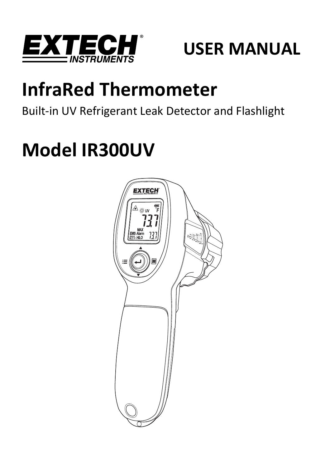

## **USER MANUAL**

# **InfraRed Thermometer**

Built‐in UV Refrigerant Leak Detector and Flashlight

# **Model IR300UV**

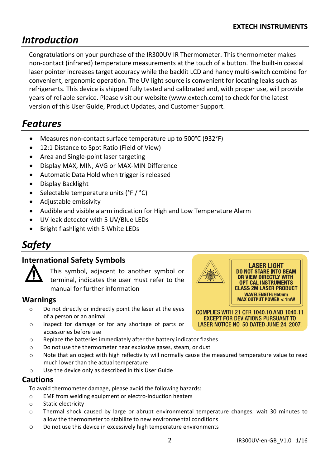## *Introduction*

Congratulations on your purchase of the IR300UV IR Thermometer. This thermometer makes non‐contact (infrared) temperature measurements at the touch of a button. The built‐in coaxial laser pointer increases target accuracy while the backlit LCD and handy multi‐switch combine for convenient, ergonomic operation. The UV light source is convenient for locating leaks such as refrigerants. This device is shipped fully tested and calibrated and, with proper use, will provide years of reliable service. Please visit our website (www.extech.com) to check for the latest version of this User Guide, Product Updates, and Customer Support.

## *Features*

- Measures non‐contact surface temperature up to 500°C (932°F)
- 12:1 Distance to Spot Ratio (Field of View)
- Area and Single‐point laser targeting
- Display MAX, MIN, AVG or MAX‐MIN Difference
- Automatic Data Hold when trigger is released
- Display Backlight
- Selectable temperature units (°F / °C)
- Adjustable emissivity
- Audible and visible alarm indication for High and Low Temperature Alarm
- UV leak detector with 5 UV/Blue LEDs
- Bright flashlight with 5 White LEDs

## *Safety*

#### **International Safety Symbols**



This symbol, adjacent to another symbol or terminal, indicates the user must refer to the manual for further information

#### **Warnings**

- o Do not directly or indirectly point the laser at the eyes of a person or an animal
- o Inspect for damage or for any shortage of parts or accessories before use
- o Replace the batteries immediately after the battery indicator flashes
- o Do not use the thermometer near explosive gases, steam, or dust
- o Note that an object with high reflectivity will normally cause the measured temperature value to read much lower than the actual temperature
- o Use the device only as described in this User Guide

#### **Cautions**

To avoid thermometer damage, please avoid the following hazards:

- o EMF from welding equipment or electro‐induction heaters
- o Static electricity
- o Thermal shock caused by large or abrupt environmental temperature changes; wait 30 minutes to allow the thermometer to stabilize to new environmental conditions
- o Do not use this device in excessively high temperature environments

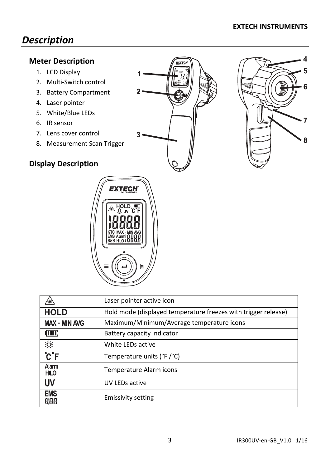## *Description*

#### **Meter Description**

- 1. LCD Display
- 2. Multi‐Switch control
- 3. Battery Compartment
- 4. Laser pointer
- 5. White/Blue LEDs
- 6. IR sensor
- 7. Lens cover control
- 8. Measurement Scan Trigger

#### **Display Description**







|                               | Laser pointer active icon                                      |  |
|-------------------------------|----------------------------------------------------------------|--|
| <b>HOLD</b>                   | Hold mode (displayed temperature freezes with trigger release) |  |
| <b>MAX - MIN AVG</b>          | Maximum/Minimum/Average temperature icons                      |  |
| (MC                           | Battery capacity indicator                                     |  |
| 汶                             | White LEDs active                                              |  |
| $\overline{C}$ $\overline{F}$ | Temperature units (°F/°C)                                      |  |
| Alarm<br><b>HILO</b>          | Temperature Alarm icons                                        |  |
| UV                            | UV LEDs active                                                 |  |
| <b>EMS</b><br>888             | <b>Emissivity setting</b>                                      |  |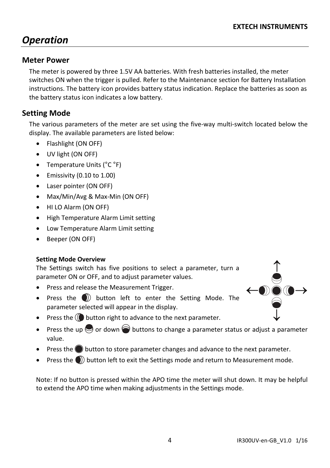## *Operation*

#### **Meter Power**

The meter is powered by three 1.5V AA batteries. With fresh batteries installed, the meter switches ON when the trigger is pulled. Refer to the Maintenance section for Battery Installation instructions. The battery icon provides battery status indication. Replace the batteries as soon as the battery status icon indicates a low battery.

#### **Setting Mode**

The various parameters of the meter are set using the five‐way multi‐switch located below the display. The available parameters are listed below:

- Flashlight (ON OFF)
- UV light (ON OFF)
- Temperature Units (°C °F)
- $\bullet$  Emissivity (0.10 to 1.00)
- Laser pointer (ON OFF)
- Max/Min/Avg & Max-Min (ON OFF)
- HI LO Alarm (ON OFF)
- High Temperature Alarm Limit setting
- Low Temperature Alarm Limit setting
- Beeper (ON OFF)

#### **Setting Mode Overview**

The Settings switch has five positions to select a parameter, turn a parameter ON or OFF, and to adjust parameter values.

- Press and release the Measurement Trigger.
- Press the  $\bigcirc$  button left to enter the Setting Mode. The parameter selected will appear in the display.
- 
- **•** Press the  $\mathbb{Q}$  button right to advance to the next parameter.
- Press the up  $\bigcirc$  or down  $\bigcirc$  buttons to change a parameter status or adjust a parameter value.
- **Press the button to store parameter changes and advance to the next parameter.**
- **Press the C** $\bigcirc$  button left to exit the Settings mode and return to Measurement mode.

Note: If no button is pressed within the APO time the meter will shut down. It may be helpful to extend the APO time when making adjustments in the Settings mode.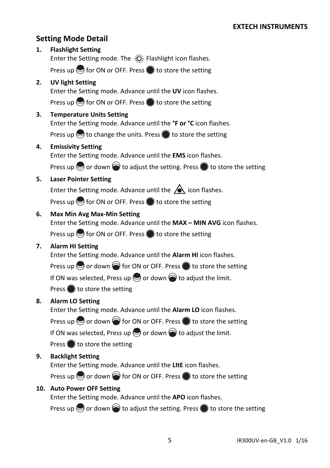#### **Setting Mode Detail**

### **1. Flashlight Setting** Enter the Setting mode. The  $\forall \overleftrightarrow{C}$ . Flashlight icon flashes. Press up  $\bigcirc$  for ON or OFF. Press  $\bigcirc$  to store the setting **2. UV light Setting** Enter the Setting mode. Advance until the **UV** icon flashes. Press up  $\bigcirc$  for ON or OFF. Press  $\bigcirc$  to store the setting **3. Temperature Units Setting** Enter the Setting mode. Advance until the **°F or °C** icon flashes. Press up  $\bigcirc$  to change the units. Press  $\bigcirc$  to store the setting **4. Emissivity Setting** Enter the Setting mode. Advance until the **EMS** icon flashes. Press up  $\odot$  or down  $\odot$  to adjust the setting. Press  $\odot$  to store the setting **5. Laser Pointer Setting** Enter the Setting mode. Advance until the  $\bigtriangleup$  icon flashes. Press up  $\bigcirc$  for ON or OFF. Press  $\bigcirc$  to store the setting **6. Max Min Avg Max‐Min Setting** Enter the Setting mode. Advance until the **MAX – MIN AVG** icon flashes. Press up  $\bigcirc$  for ON or OFF. Press  $\bigcirc$  to store the setting **7. Alarm HI Setting** Enter the Setting mode. Advance until the **Alarm HI** icon flashes. Press up  $\odot$  or down  $\odot$  for ON or OFF. Press  $\odot$  to store the setting If ON was selected, Press up  $\bigcirc$  or down  $\bigcirc$  to adjust the limit. Press  $\bigcirc$  to store the setting **8. Alarm LO Setting** Enter the Setting mode. Advance until the **Alarm LO** icon flashes. Press up  $\odot$  or down  $\odot$  for ON or OFF. Press  $\odot$  to store the setting If ON was selected, Press up  $\bigcirc$  or down  $\bigcirc$  to adjust the limit. Press  $\bigcirc$  to store the setting **9. Backlight Setting** Enter the Setting mode. Advance until the **LItE** icon flashes. Press up  $\odot$  or down  $\odot$  for ON or OFF. Press  $\odot$  to store the setting

#### **10. Auto Power OFF Setting**

Enter the Setting mode. Advance until the **APO** icon flashes.

Press up  $\bigcirc$  or down  $\bigcirc$  to adjust the setting. Press  $\bigcirc$  to store the setting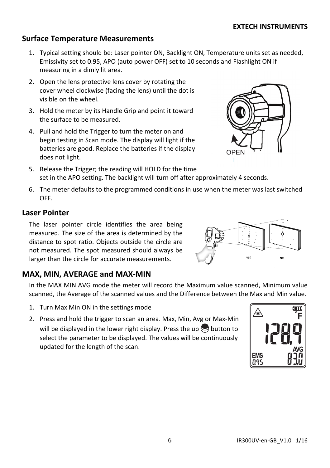#### **Surface Temperature Measurements**

- 1. Typical setting should be: Laser pointer ON, Backlight ON, Temperature units set as needed, Emissivity set to 0.95, APO (auto power OFF) set to 10 seconds and Flashlight ON if measuring in a dimly lit area.
- 2. Open the lens protective lens cover by rotating the cover wheel clockwise (facing the lens) until the dot is visible on the wheel.
- 3. Hold the meter by its Handle Grip and point it toward the surface to be measured.
- 4. Pull and hold the Trigger to turn the meter on and begin testing in Scan mode. The display will light if the batteries are good. Replace the batteries if the display does not light.
- 5. Release the Trigger; the reading will HOLD for the time set in the APO setting. The backlight will turn off after approximately 4 seconds.
- 6. The meter defaults to the programmed conditions in use when the meter was last switched OFF.

#### **Laser Pointer**

The laser pointer circle identifies the area being measured. The size of the area is determined by the distance to spot ratio. Objects outside the circle are not measured. The spot measured should always be larger than the circle for accurate measurements.

#### **MAX, MIN, AVERAGE and MAX‐MIN**

In the MAX MIN AVG mode the meter will record the Maximum value scanned, Minimum value scanned, the Average of the scanned values and the Difference between the Max and Min value.

- 1. Turn Max Min ON in the settings mode
- 2. Press and hold the trigger to scan an area. Max, Min, Avg or Max‐Min will be displayed in the lower right display. Press the up  $\bigcirc$  button to select the parameter to be displayed. The values will be continuously updated for the length of the scan.





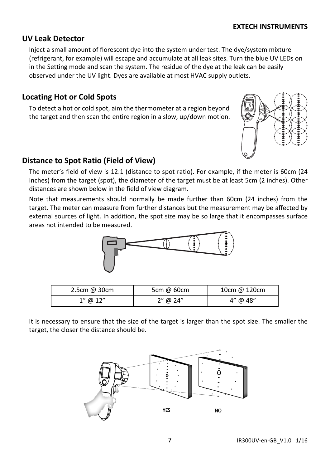#### **EXTECH INSTRUMENTS**

#### **UV Leak Detector**

Inject a small amount of florescent dye into the system under test. The dye/system mixture (refrigerant, for example) will escape and accumulate at all leak sites. Turn the blue UV LEDs on in the Setting mode and scan the system. The residue of the dye at the leak can be easily observed under the UV light. Dyes are available at most HVAC supply outlets.

#### **Locating Hot or Cold Spots**

To detect a hot or cold spot, aim the thermometer at a region beyond the target and then scan the entire region in a slow, up/down motion.

#### **Distance to Spot Ratio (Field of View)**

The meter's field of view is 12:1 (distance to spot ratio). For example, if the meter is 60cm (24 inches) from the target (spot), the diameter of the target must be at least 5cm (2 inches). Other distances are shown below in the field of view diagram.

Note that measurements should normally be made further than 60cm (24 inches) from the target. The meter can measure from further distances but the measurement may be affected by external sources of light. In addition, the spot size may be so large that it encompasses surface areas not intended to be measured.

It is necessary to ensure that the size of the target is larger than the spot size. The smaller the target, the closer the distance should be.

2.5cm @ 30cm | 5cm @ 60cm | 10cm @ 120cm  $1''$  @  $12''$   $1''$   $2''$  @  $24''$   $1''$  @  $48''$ 





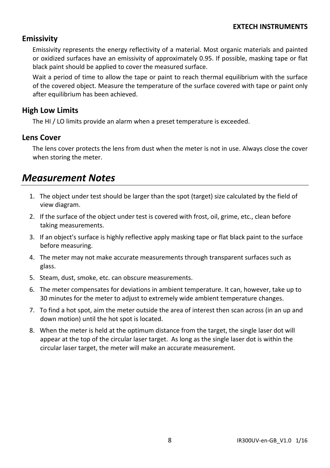#### **Emissivity**

Emissivity represents the energy reflectivity of a material. Most organic materials and painted or oxidized surfaces have an emissivity of approximately 0.95. If possible, masking tape or flat black paint should be applied to cover the measured surface.

Wait a period of time to allow the tape or paint to reach thermal equilibrium with the surface of the covered object. Measure the temperature of the surface covered with tape or paint only after equilibrium has been achieved.

#### **High Low Limits**

The HI / LO limits provide an alarm when a preset temperature is exceeded.

#### **Lens Cover**

The lens cover protects the lens from dust when the meter is not in use. Always close the cover when storing the meter.

## *Measurement Notes*

- 1. The object under test should be larger than the spot (target) size calculated by the field of view diagram.
- 2. If the surface of the object under test is covered with frost, oil, grime, etc., clean before taking measurements.
- 3. If an object's surface is highly reflective apply masking tape or flat black paint to the surface before measuring.
- 4. The meter may not make accurate measurements through transparent surfaces such as glass.
- 5. Steam, dust, smoke, etc. can obscure measurements.
- 6. The meter compensates for deviations in ambient temperature. It can, however, take up to 30 minutes for the meter to adjust to extremely wide ambient temperature changes.
- 7. To find a hot spot, aim the meter outside the area of interest then scan across (in an up and down motion) until the hot spot is located.
- 8. When the meter is held at the optimum distance from the target, the single laser dot will appear at the top of the circular laser target. As long as the single laser dot is within the circular laser target, the meter will make an accurate measurement.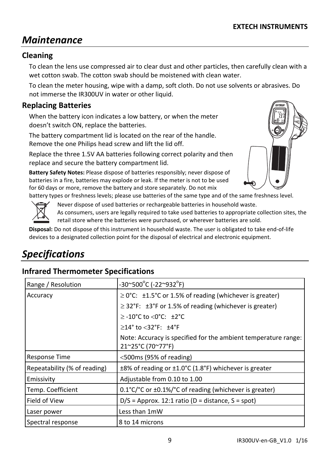## *Maintenance*

#### **Cleaning**

To clean the lens use compressed air to clear dust and other particles, then carefully clean with a wet cotton swab. The cotton swab should be moistened with clean water.

To clean the meter housing, wipe with a damp, soft cloth. Do not use solvents or abrasives. Do not immerse the IR300UV in water or other liquid.

#### **Replacing Batteries**

When the battery icon indicates a low battery, or when the meter doesn't switch ON, replace the batteries.

The battery compartment lid is located on the rear of the handle. Remove the one Philips head screw and lift the lid off.

Replace the three 1.5V AA batteries following correct polarity and then replace and secure the battery compartment lid.

**Battery Safety Notes:** Please dispose of batteries responsibly; never dispose of batteries in a fire, batteries may explode or leak. If the meter is not to be used for 60 days or more, remove the battery and store separately. Do not mix



battery types or freshness levels; please use batteries of the same type and of the same freshness level.



Never dispose of used batteries or rechargeable batteries in household waste.

As consumers, users are legally required to take used batteries to appropriate collection sites, the retail store where the batteries were purchased, or wherever batteries are sold.

**Disposal:** Do not dispose of this instrument in household waste. The user is obligated to take end‐of‐life devices to a designated collection point for the disposal of electrical and electronic equipment.

## *Specifications*

#### **Infrared Thermometer Specifications**

| Range / Resolution           | -30~500°C (-22~932°F)                                                               |
|------------------------------|-------------------------------------------------------------------------------------|
| Accuracy                     | $\geq$ 0°C: $\pm$ 1.5°C or 1.5% of reading (whichever is greater)                   |
|                              | $\geq$ 32°F: $\pm$ 3°F or 1.5% of reading (whichever is greater)                    |
|                              | $\ge$ -10°C to <0°C: $\pm$ 2°C                                                      |
|                              | $\geq$ 14° to <32°F: $\pm$ 4°F                                                      |
|                              | Note: Accuracy is specified for the ambient temperature range:<br>21~25°C (70~77°F) |
| Response Time                | $<$ 500 ms (95% of reading)                                                         |
| Repeatability (% of reading) | $\pm$ 8% of reading or $\pm$ 1.0°C (1.8°F) whichever is greater                     |
| Emissivity                   | Adjustable from 0.10 to 1.00                                                        |
| Temp. Coefficient            | $0.1^{\circ}$ C/ $^{\circ}$ C or $\pm 0.1\%$ C of reading (whichever is greater)    |
| Field of View                | $D/S =$ Approx. 12:1 ratio (D = distance, S = spot)                                 |
| Laser power                  | Less than 1mW                                                                       |
| Spectral response            | 8 to 14 microns                                                                     |